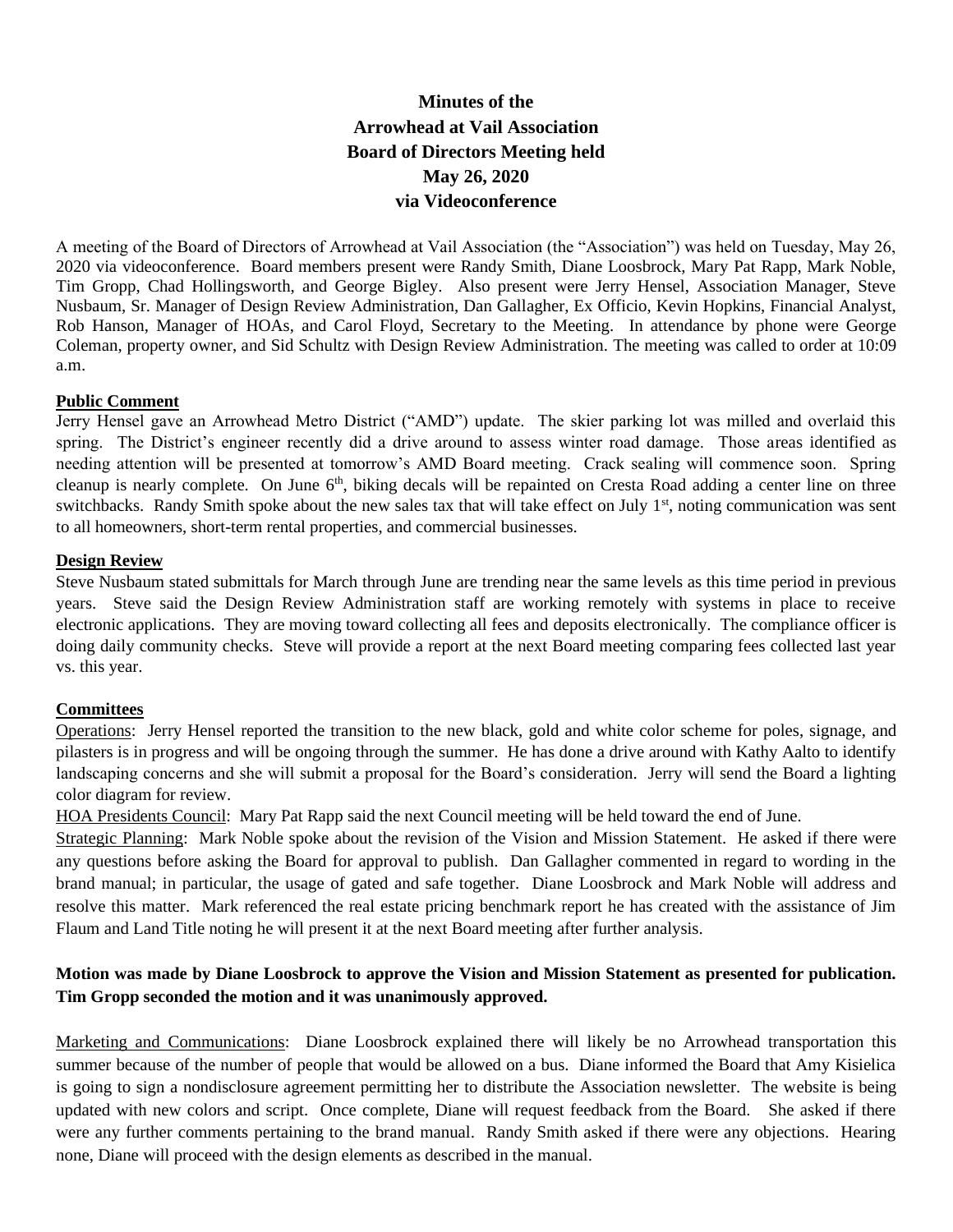# **Minutes of the Arrowhead at Vail Association Board of Directors Meeting held May 26, 2020 via Videoconference**

A meeting of the Board of Directors of Arrowhead at Vail Association (the "Association") was held on Tuesday, May 26, 2020 via videoconference. Board members present were Randy Smith, Diane Loosbrock, Mary Pat Rapp, Mark Noble, Tim Gropp, Chad Hollingsworth, and George Bigley. Also present were Jerry Hensel, Association Manager, Steve Nusbaum, Sr. Manager of Design Review Administration, Dan Gallagher, Ex Officio, Kevin Hopkins, Financial Analyst, Rob Hanson, Manager of HOAs, and Carol Floyd, Secretary to the Meeting. In attendance by phone were George Coleman, property owner, and Sid Schultz with Design Review Administration. The meeting was called to order at 10:09 a.m.

#### **Public Comment**

Jerry Hensel gave an Arrowhead Metro District ("AMD") update. The skier parking lot was milled and overlaid this spring. The District's engineer recently did a drive around to assess winter road damage. Those areas identified as needing attention will be presented at tomorrow's AMD Board meeting. Crack sealing will commence soon. Spring cleanup is nearly complete. On June  $6<sup>th</sup>$ , biking decals will be repainted on Cresta Road adding a center line on three switchbacks. Randy Smith spoke about the new sales tax that will take effect on July 1<sup>st</sup>, noting communication was sent to all homeowners, short-term rental properties, and commercial businesses.

## **Design Review**

Steve Nusbaum stated submittals for March through June are trending near the same levels as this time period in previous years. Steve said the Design Review Administration staff are working remotely with systems in place to receive electronic applications. They are moving toward collecting all fees and deposits electronically. The compliance officer is doing daily community checks. Steve will provide a report at the next Board meeting comparing fees collected last year vs. this year.

## **Committees**

Operations: Jerry Hensel reported the transition to the new black, gold and white color scheme for poles, signage, and pilasters is in progress and will be ongoing through the summer. He has done a drive around with Kathy Aalto to identify landscaping concerns and she will submit a proposal for the Board's consideration. Jerry will send the Board a lighting color diagram for review.

HOA Presidents Council: Mary Pat Rapp said the next Council meeting will be held toward the end of June.

Strategic Planning: Mark Noble spoke about the revision of the Vision and Mission Statement. He asked if there were any questions before asking the Board for approval to publish. Dan Gallagher commented in regard to wording in the brand manual; in particular, the usage of gated and safe together. Diane Loosbrock and Mark Noble will address and resolve this matter. Mark referenced the real estate pricing benchmark report he has created with the assistance of Jim Flaum and Land Title noting he will present it at the next Board meeting after further analysis.

# **Motion was made by Diane Loosbrock to approve the Vision and Mission Statement as presented for publication. Tim Gropp seconded the motion and it was unanimously approved.**

Marketing and Communications: Diane Loosbrock explained there will likely be no Arrowhead transportation this summer because of the number of people that would be allowed on a bus. Diane informed the Board that Amy Kisielica is going to sign a nondisclosure agreement permitting her to distribute the Association newsletter. The website is being updated with new colors and script. Once complete, Diane will request feedback from the Board. She asked if there were any further comments pertaining to the brand manual. Randy Smith asked if there were any objections. Hearing none, Diane will proceed with the design elements as described in the manual.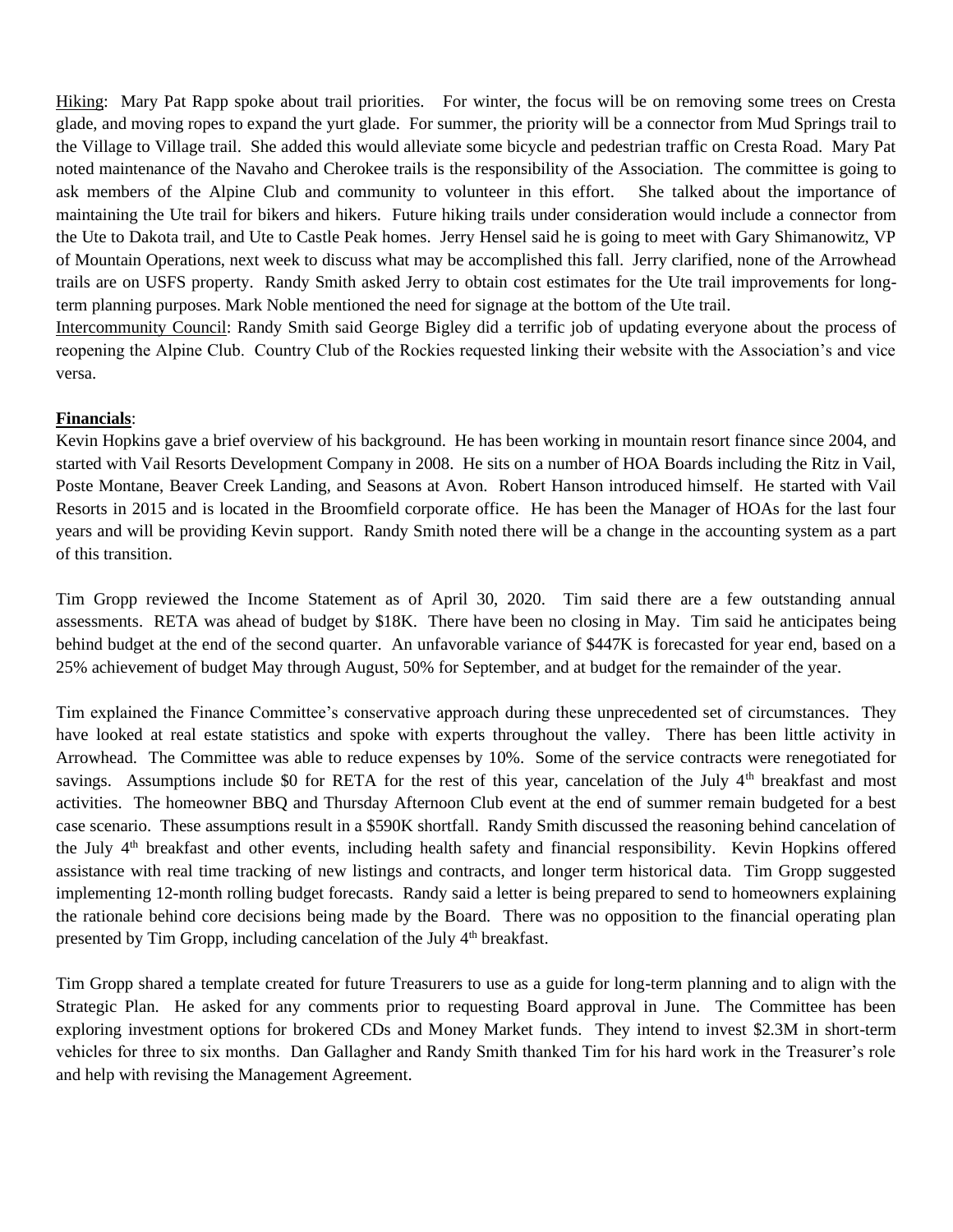Hiking: Mary Pat Rapp spoke about trail priorities. For winter, the focus will be on removing some trees on Cresta glade, and moving ropes to expand the yurt glade. For summer, the priority will be a connector from Mud Springs trail to the Village to Village trail. She added this would alleviate some bicycle and pedestrian traffic on Cresta Road. Mary Pat noted maintenance of the Navaho and Cherokee trails is the responsibility of the Association. The committee is going to ask members of the Alpine Club and community to volunteer in this effort. She talked about the importance of maintaining the Ute trail for bikers and hikers. Future hiking trails under consideration would include a connector from the Ute to Dakota trail, and Ute to Castle Peak homes. Jerry Hensel said he is going to meet with Gary Shimanowitz, VP of Mountain Operations, next week to discuss what may be accomplished this fall. Jerry clarified, none of the Arrowhead trails are on USFS property. Randy Smith asked Jerry to obtain cost estimates for the Ute trail improvements for longterm planning purposes. Mark Noble mentioned the need for signage at the bottom of the Ute trail. Intercommunity Council: Randy Smith said George Bigley did a terrific job of updating everyone about the process of

reopening the Alpine Club. Country Club of the Rockies requested linking their website with the Association's and vice versa.

## **Financials**:

Kevin Hopkins gave a brief overview of his background. He has been working in mountain resort finance since 2004, and started with Vail Resorts Development Company in 2008. He sits on a number of HOA Boards including the Ritz in Vail, Poste Montane, Beaver Creek Landing, and Seasons at Avon. Robert Hanson introduced himself. He started with Vail Resorts in 2015 and is located in the Broomfield corporate office. He has been the Manager of HOAs for the last four years and will be providing Kevin support. Randy Smith noted there will be a change in the accounting system as a part of this transition.

Tim Gropp reviewed the Income Statement as of April 30, 2020. Tim said there are a few outstanding annual assessments. RETA was ahead of budget by \$18K. There have been no closing in May. Tim said he anticipates being behind budget at the end of the second quarter. An unfavorable variance of \$447K is forecasted for year end, based on a 25% achievement of budget May through August, 50% for September, and at budget for the remainder of the year.

Tim explained the Finance Committee's conservative approach during these unprecedented set of circumstances. They have looked at real estate statistics and spoke with experts throughout the valley. There has been little activity in Arrowhead. The Committee was able to reduce expenses by 10%. Some of the service contracts were renegotiated for savings. Assumptions include \$0 for RETA for the rest of this year, cancelation of the July  $4<sup>th</sup>$  breakfast and most activities. The homeowner BBQ and Thursday Afternoon Club event at the end of summer remain budgeted for a best case scenario. These assumptions result in a \$590K shortfall. Randy Smith discussed the reasoning behind cancelation of the July 4th breakfast and other events, including health safety and financial responsibility. Kevin Hopkins offered assistance with real time tracking of new listings and contracts, and longer term historical data. Tim Gropp suggested implementing 12-month rolling budget forecasts. Randy said a letter is being prepared to send to homeowners explaining the rationale behind core decisions being made by the Board. There was no opposition to the financial operating plan presented by Tim Gropp, including cancelation of the July 4<sup>th</sup> breakfast.

Tim Gropp shared a template created for future Treasurers to use as a guide for long-term planning and to align with the Strategic Plan. He asked for any comments prior to requesting Board approval in June. The Committee has been exploring investment options for brokered CDs and Money Market funds. They intend to invest \$2.3M in short-term vehicles for three to six months. Dan Gallagher and Randy Smith thanked Tim for his hard work in the Treasurer's role and help with revising the Management Agreement.